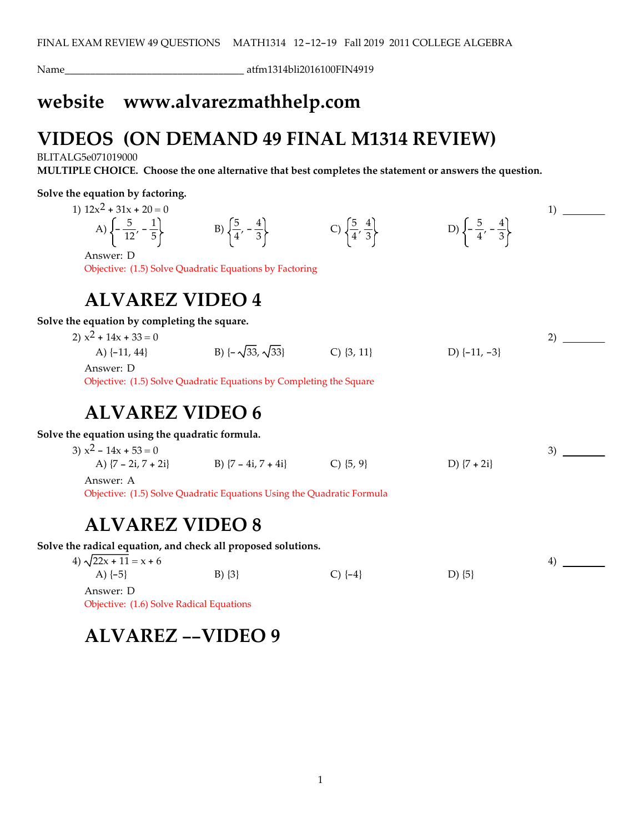Name\_\_\_\_\_\_\_\_\_\_\_\_\_\_\_\_\_\_\_\_\_\_\_\_\_\_\_\_\_\_\_\_\_\_\_ atfm1314bli2016100FIN4919

## **website www.alvarezmathhelp.com**

# **VIDEOS (ON DEMAND 49 FINAL M1314 REVIEW)**

BLITALG5e071019000

**MULTIPLE CHOICE. Choose the one alternative that best completes the statement or answers the question.**

#### **Solve the equation by factoring.**

1)  $12x^2 + 31x + 20 = 0$ A)  $\left\{-\frac{5}{12}, -\frac{1}{5}\right\}$  B)  $\left\{\frac{5}{4}, -\frac{4}{3}\right\}$  C)  $\left\{\frac{5}{4}, \frac{4}{3}\right\}$  D)  $\left\{-\frac{5}{4}, -\frac{4}{3}\right\}$ 

Answer: D

Objective: (1.5) Solve Quadratic Equations by Factoring

#### **ALVAREZ VIDEO 4**

**Solve the equation by completing the square.**

2)  $x^2 + 14x + 33 = 0$ A)  $\{-11, 44\}$  B)  $\{-\sqrt{33}, \sqrt{33}\}$  C)  $\{3, 11\}$  D)  $\{-11, -3\}$ 2)

1)

4)

Answer: D

Objective: (1.5) Solve Quadratic Equations by Completing the Square

## **ALVAREZ VIDEO 6**

**Solve the equation using the quadratic formula.**

| 3) $x^2 - 14x + 53 = 0$ |                                                                        |             |                 |  |
|-------------------------|------------------------------------------------------------------------|-------------|-----------------|--|
| A) $\{7 - 2i, 7 + 2i\}$ | B) $\{7 - 4i, 7 + 4i\}$                                                | $C\$ {5, 9} | D) $\{7 + 2i\}$ |  |
| Answer: A               |                                                                        |             |                 |  |
|                         | Objective: (1.5) Solve Quadratic Equations Using the Quadratic Formula |             |                 |  |

#### **ALVAREZ VIDEO 8**

**Solve the radical equation, and check all proposed solutions.**

4)  $\sqrt{22x + 11} = x + 6$ A)  $\{-5\}$  B)  $\{3\}$  C)  $\{-4\}$  D)  $\{5\}$ 

Answer: D Objective: (1.6) Solve Radical Equations

# **ALVAREZ --VIDEO 9**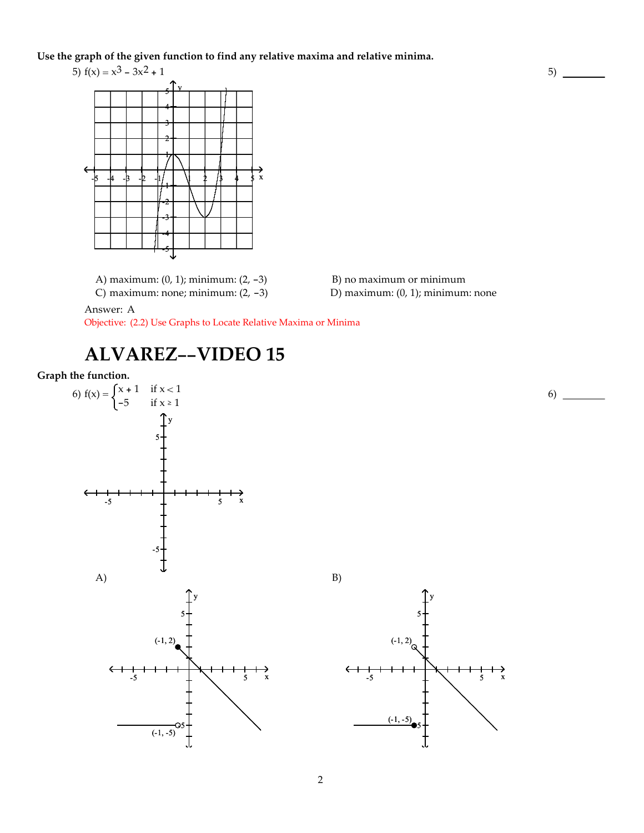**Use the graph of the given function to find any relative maxima and relative minima.**



A) maximum:  $(0, 1)$ ; minimum:  $(2, -3)$  B) no maximum or minimum

C) maximum: none; minimum:  $(2, -3)$  D) maximum:  $(0, 1)$ ; minimum: none

Answer: A

Objective: (2.2) Use Graphs to Locate Relative Maxima or Minima

# **ALVAREZ--VIDEO 15**

#### **Graph the function.**





 $5)$   $\qquad$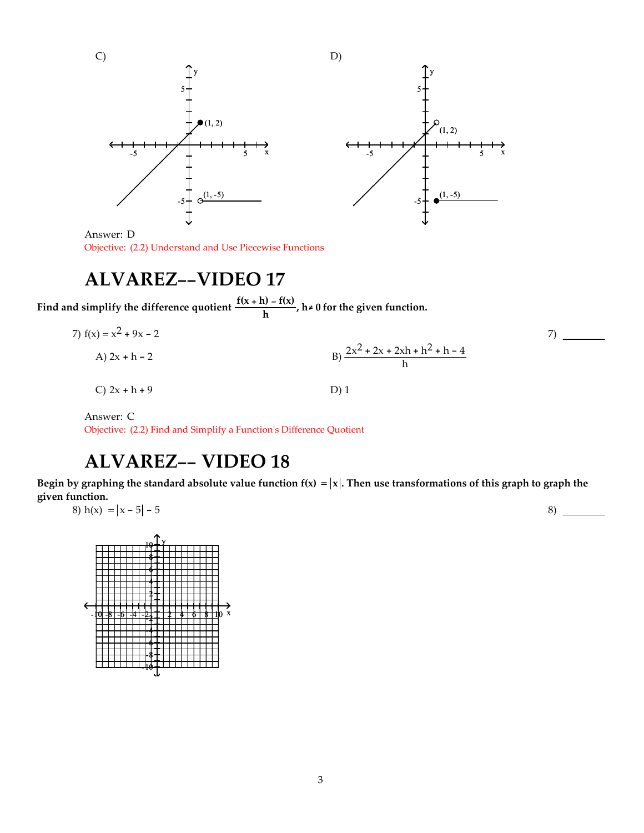

Answer: D Objective: (2.2) Understand and Use Piecewise Functions

#### **ALVAREZ--VIDEO 17**

**Find** and simplify the difference quotient  $\frac{f(x+h) - f(x)}{h}$ ,  $h \neq 0$  for the given function.

7) 
$$
f(x) = x^2 + 9x - 2
$$
  
\nA)  $2x + h - 2$   
\nB)  $\frac{2x^2 + 2x + 2xh + h^2 + h - 4}{h}$   
\nC)  $2x + h + 9$   
\nD) 1

Answer: C Objective: (2.2) Find and Simplify a Functionʹs Difference Quotient

# **ALVAREZ-- VIDEO 18**

Begin by graphing the standard absolute value function  $f(x) = |x|$ . Then use transformations of this graph to graph the **given function.**

8) 
$$
h(x) = |x - 5| - 5
$$

-10 -8 -6 -4 -2 2 4 6 8 10 x  $10 + Y$ 8 6 4 2 -2 -4 -6 -8 -10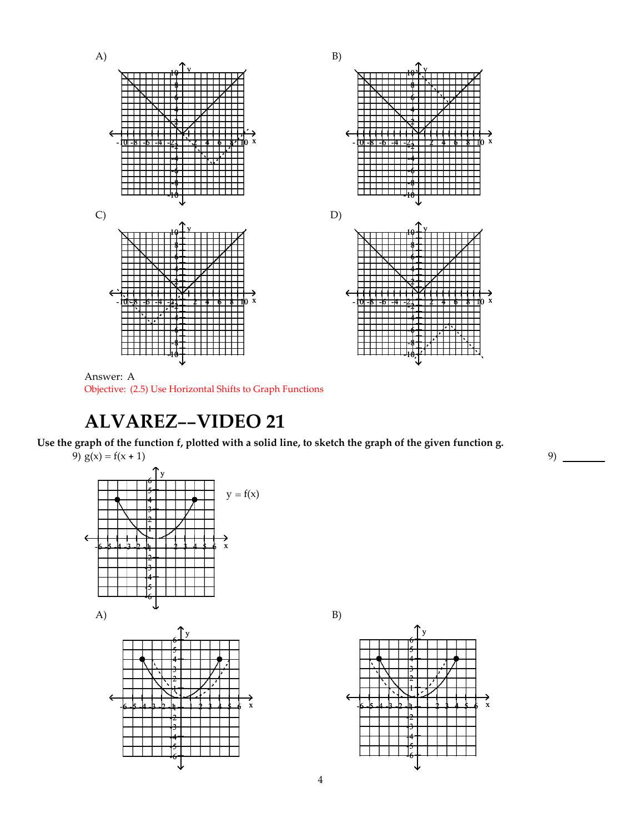

Answer: A Objective: (2.5) Use Horizontal Shifts to Graph Functions

## **ALVAREZ--VIDEO 21**

#### Use the graph of the function f, plotted with a solid line, to sketch the graph of the given function g.



-2 -3 -4 -5 -6



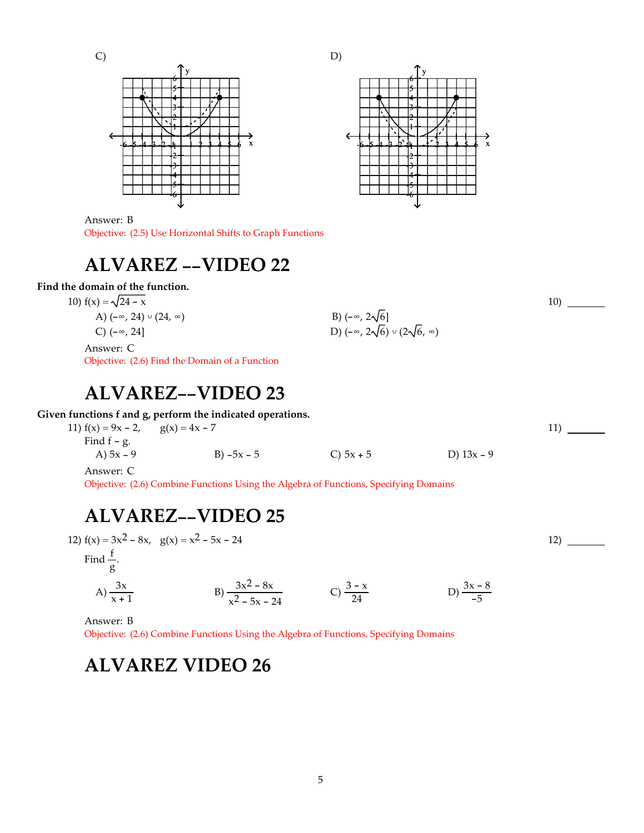C)





10)

11)

12)

Answer: B Objective: (2.5) Use Horizontal Shifts to Graph Functions

# **ALVAREZ --VIDEO 22**

#### **Find the domain of the function.**

10)  $f(x) = \sqrt{24 - x}$ A)  $(-\infty, 24) \cup (24, \infty)$ A)  $(-\infty, 24) \cup (24, \infty)$ <br>C)  $(-\infty, 24]$ <br>C)  $(-\infty, 24)$ <br>D)  $(-\infty, 2\sqrt{6}) \cup (2\sqrt{6}, \infty)$ 

Answer: C Objective: (2.6) Find the Domain of a Function

#### **ALVAREZ--VIDEO 23**

**Given functions f and g, perform the indicated operations.**

| 11) $f(x) = 9x - 2$ , $g(x) = 4x - 7$ |              |             |              |
|---------------------------------------|--------------|-------------|--------------|
| Find $f - g$ .                        |              |             |              |
| A) $5x - 9$                           | B) $-5x - 5$ | C) $5x + 5$ | D) $13x - 9$ |
|                                       |              |             |              |

Answer: C

Objective: (2.6) Combine Functions Using the Algebra of Functions, Specifying Domains

## **ALVAREZ--VIDEO 25**

12)  $f(x) = 3x^2 - 8x$ ,  $g(x) = x^2 - 5x - 24$ 

Find  $\frac{f}{g}$ .

A) 
$$
\frac{3x}{x+1}
$$
 \t\t B)  $\frac{3x^2 - 8x}{x^2 - 5x - 24}$  \t\t C)  $\frac{3 - x}{24}$  \t\t D)  $\frac{3x - 8}{-5}$ 

Answer: B

Objective: (2.6) Combine Functions Using the Algebra of Functions, Specifying Domains

# **ALVAREZ VIDEO 26**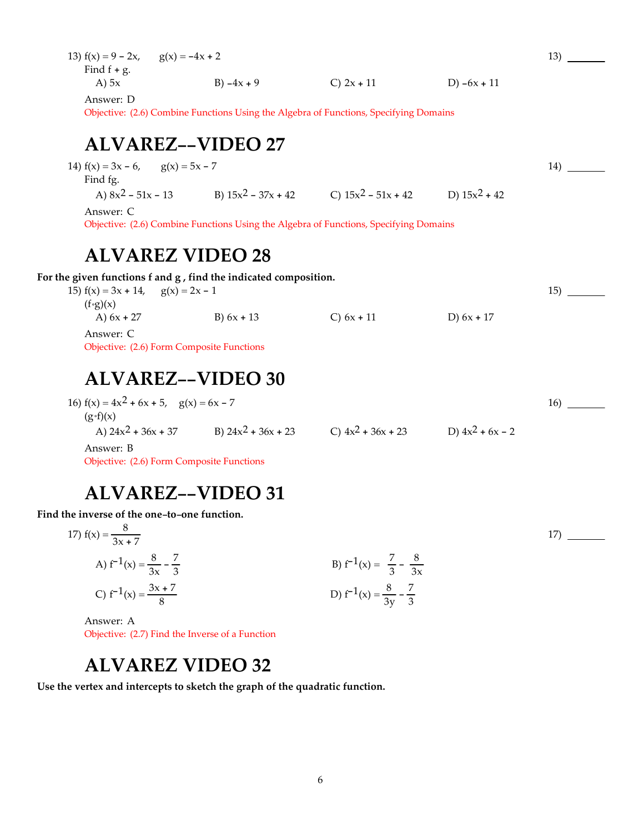| 13) $f(x) = 9 - 2x$ , | $g(x) = -4x + 2$ |              |               |
|-----------------------|------------------|--------------|---------------|
| Find $f + g$ .        |                  |              |               |
| A) $5x$               | B) $-4x + 9$     | C) $2x + 11$ | D) $-6x + 11$ |
|                       |                  |              |               |

13)

14)

15)

17)

Answer: D

Objective: (2.6) Combine Functions Using the Algebra of Functions, Specifying Domains

## **ALVAREZ--VIDEO 27**

14)  $f(x) = 3x - 6$ ,  $g(x) = 5x - 7$ Find fg. A)  $8x^2 - 51x - 13$  B)  $15x^2 - 37x + 42$  C)  $15x^2 - 51x + 42$  D)  $15x^2 + 42$ Answer: C Objective: (2.6) Combine Functions Using the Algebra of Functions, Specifying Domains

#### **ALVAREZ VIDEO 28**

**For the given functions f and g , find the indicated composition.**

| 15) $f(x) = 3x + 14$ , $g(x) = 2x - 1$ |              |              |              |
|----------------------------------------|--------------|--------------|--------------|
| $(f \circ g)(x)$                       |              |              |              |
| A) $6x + 27$                           | B) $6x + 13$ | C) $6x + 11$ | D) $6x + 17$ |
| Answer: C                              |              |              |              |
| $\sim$ $\sim$ $\sim$ $\sim$ $\sim$     | $\sqrt{2}$   |              |              |

Objective: (2.6) Form Composite Functions

## **ALVAREZ--VIDEO 30**

| 16) $f(x) = 4x^2 + 6x + 5$ , $g(x) = 6x - 7$ |                       |                      |                    | 16) |
|----------------------------------------------|-----------------------|----------------------|--------------------|-----|
| $(g \cdot f)(x)$                             |                       |                      |                    |     |
| A) $24x^2 + 36x + 37$                        | B) $24x^2 + 36x + 23$ | C) $4x^2 + 36x + 23$ | D) $4x^2 + 6x - 2$ |     |
| Answer: B                                    |                       |                      |                    |     |

Objective: (2.6) Form Composite Functions

# **ALVAREZ--VIDEO 31**

**Find the inverse of the one-to-one function.**

17) 
$$
f(x) = \frac{8}{3x + 7}
$$
  
\nA)  $f^{-1}(x) = \frac{8}{3x} - \frac{7}{3}$   
\nB)  $f^{-1}(x) = \frac{7}{3} - \frac{8}{3x}$   
\nC)  $f^{-1}(x) = \frac{3x + 7}{8}$   
\nD)  $f^{-1}(x) = \frac{8}{3y} - \frac{7}{3}$ 

Answer: A Objective: (2.7) Find the Inverse of a Function

# **ALVAREZ VIDEO 32**

**Use the vertex and intercepts to sketch the graph of the quadratic function.**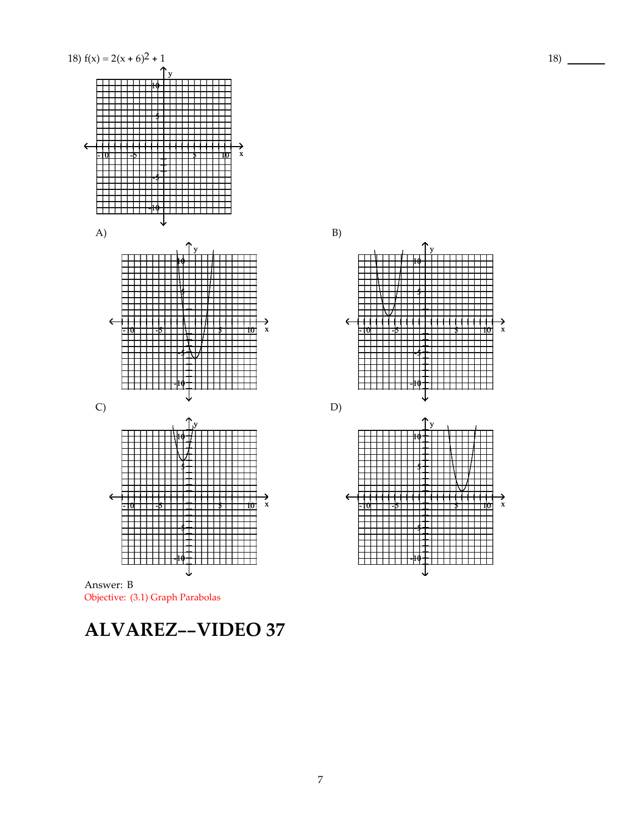



-10 -5 5 10 x

 $\frac{1}{\mathbf{H}}$ ┝┿┿╋┿╋┿╋┽╋┽╋┽╋┿┿┿┿┿┾┿┽┥<br><u>├┼┼╂┼╁┼╂┼╋╋╋╋┼╂┼┼┼┼┼┼┼┼┤</u>

B)



# **ALVAREZ--VIDEO 37**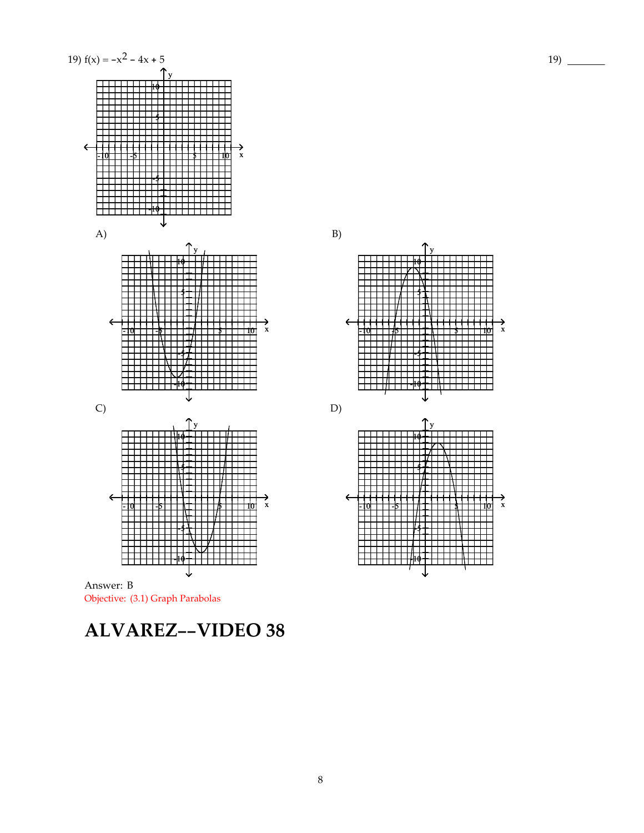



-5

-10

┯┷┷┷

y 10



# **ALVAREZ--VIDEO 38**

B)

8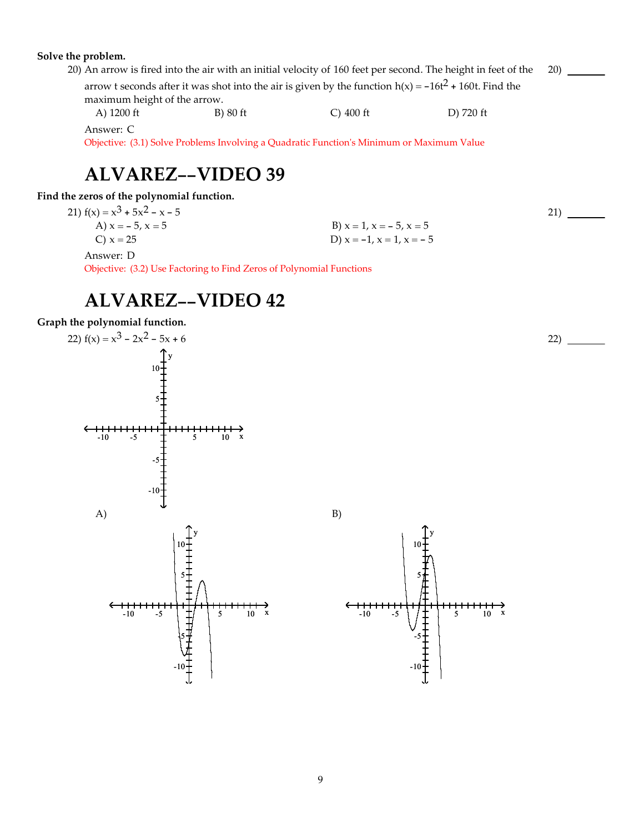#### **Solve the problem.**

|                              |          |                                                                                                           | 20) An arrow is fired into the air with an initial velocity of 160 feet per second. The height in feet of the |
|------------------------------|----------|-----------------------------------------------------------------------------------------------------------|---------------------------------------------------------------------------------------------------------------|
|                              |          | arrow t seconds after it was shot into the air is given by the function $h(x) = -16t^2 + 160t$ . Find the |                                                                                                               |
| maximum height of the arrow. |          |                                                                                                           |                                                                                                               |
| A) 1200 ft                   | B) 80 ft | $\bigcirc$ 400 ft                                                                                         | D) 720 ft                                                                                                     |

Answer: C

Objective: (3.1) Solve Problems Involving a Quadratic Functionʹs Minimum or Maximum Value

# **ALVAREZ--VIDEO 39**

**Find the zeros of the polynomial function.**

21)  $f(x) = x^3 + 5x^2 - x - 5$ <br>A)  $x = -5$ ,  $x = 5$ 

A)  $x = -5$ ,  $x = 5$ <br>
B)  $x = 1$ ,  $x = -5$ ,  $x = 5$ <br>
D)  $x = -1$ ,  $x = 1$ ,  $x = -5$ D)  $x = -1$ ,  $x = 1$ ,  $x = -5$ 

Answer: D

Objective: (3.2) Use Factoring to Find Zeros of Polynomial Functions

# **ALVAREZ--VIDEO 42**

#### **Graph the polynomial function.**





 $22)$  —

21)

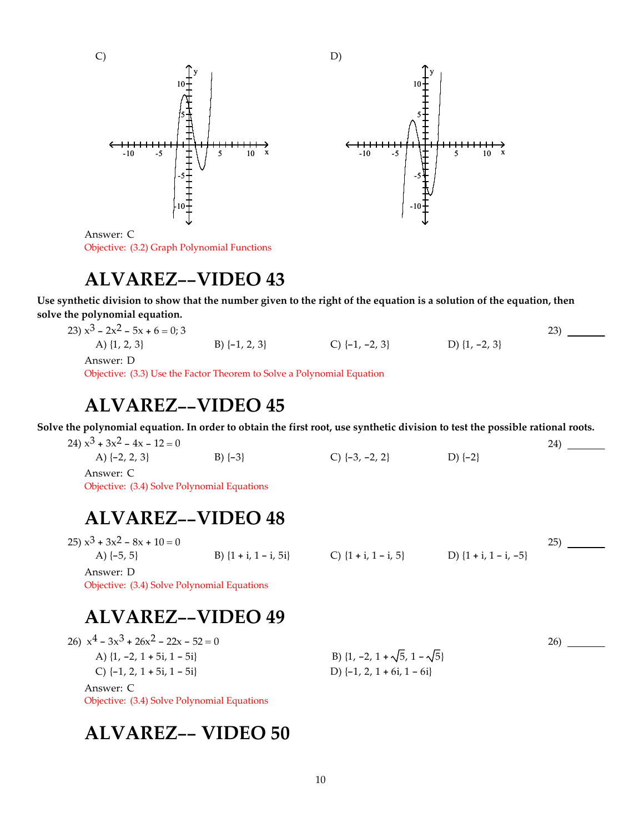

Answer: C Objective: (3.2) Graph Polynomial Functions

# **ALVAREZ--VIDEO 43**

Use synthetic division to show that the number given to the right of the equation is a solution of the equation, then **solve the polynomial equation.**

| 23) $x^3 - 2x^2 - 5x + 6 = 0$ ; 3 |                   |                    |                   |  |
|-----------------------------------|-------------------|--------------------|-------------------|--|
| A) $\{1, 2, 3\}$                  | B) $\{-1, 2, 3\}$ | C) $\{-1, -2, 3\}$ | D) $\{1, -2, 3\}$ |  |
| Answer: D                         |                   |                    |                   |  |

Objective: (3.3) Use the Factor Theorem to Solve a Polynomial Equation

#### **ALVAREZ--VIDEO 45**

Solve the polynomial equation. In order to obtain the first root, use synthetic division to test the possible rational roots.

| 24) $x^3 + 3x^2 - 4x - 12 = 0$ |           |                    |          |  |
|--------------------------------|-----------|--------------------|----------|--|
| A) $\{-2, 2, 3\}$              | $B)$ {-3} | C) $\{-3, -2, 2\}$ | $D$ {-2} |  |
| Answer: C                      |           |                    |          |  |

Objective: (3.4) Solve Polynomial Equations

# **ALVAREZ--VIDEO 48**

| $(25)$ $x^3$ + $3x^2$ – $8x$ + $10 = 0$ |                           |                          |                           |  |
|-----------------------------------------|---------------------------|--------------------------|---------------------------|--|
| A) $\{-5, 5\}$                          | B) $\{1 + i, 1 - i, 5i\}$ | C) $\{1 + i, 1 - i, 5\}$ | D) $\{1 + i, 1 - i, -5\}$ |  |
| Answer: D                               |                           |                          |                           |  |

26)

Objective: (3.4) Solve Polynomial Equations

## **ALVAREZ--VIDEO 49**

| 26) $x^4 - 3x^3 + 26x^2 - 22x - 52 = 0$     |                                             |  |
|---------------------------------------------|---------------------------------------------|--|
| A) $\{1, -2, 1 + 5i, 1 - 5i\}$              | B) $\{1, -2, 1 + \sqrt{5}, 1 - \sqrt{5}\}\$ |  |
| C) $\{-1, 2, 1 + 5i, 1 - 5i\}$              | D) $\{-1, 2, 1 + 6i, 1 - 6i\}$              |  |
| Answer: C                                   |                                             |  |
| Objective: (3.4) Solve Polynomial Equations |                                             |  |

## **ALVAREZ-- VIDEO 50**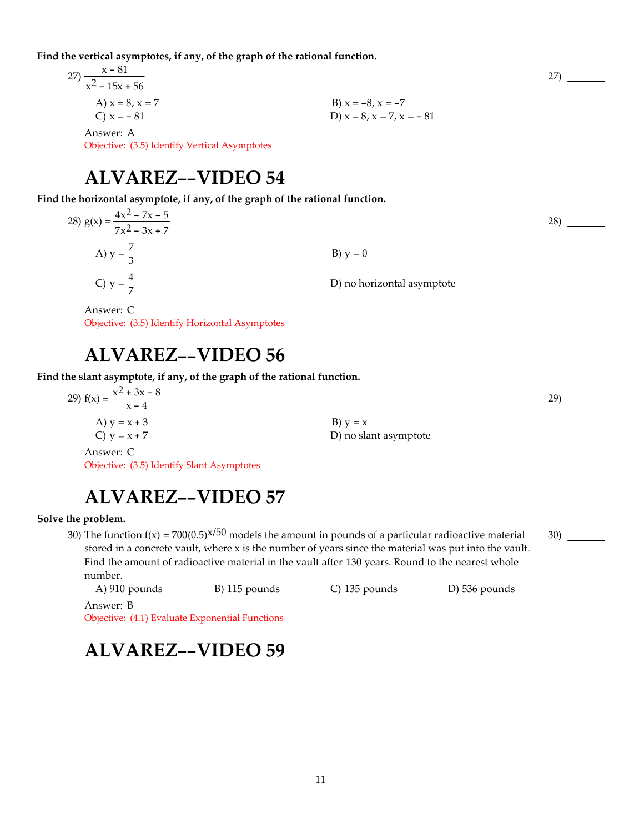**Find the vertical asymptotes, if any, of the graph of the rational function.**

27) 
$$
\frac{x - 81}{x^2 - 15x + 56}
$$
  
\nA)  $x = 8, x = 7$   
\nB)  $x = -8, x = -7$   
\nC)  $x = -81$   
\nB)  $x = -8, x = -7$   
\nD)  $x = 8, x = 7, x = -81$   
\nD)  $x = 8, x = 7, x = -81$ 

## **ALVAREZ--VIDEO 54**

**Find the horizontal asymptote, if any, of the graph of the rational function.**

| 28) $g(x) = \frac{4x^2 - 7x - 5}{7x^2 - 3x + 7}$ |                            |
|--------------------------------------------------|----------------------------|
| A) $y = \frac{7}{3}$                             | B) $y = 0$                 |
| C) $y = \frac{4}{7}$                             | D) no horizontal asymptote |

Answer: C Objective: (3.5) Identify Horizontal Asymptotes

## **ALVAREZ--VIDEO 56**

**Find the slant asymptote, if any, of the graph of the rational function.**

| 29) $f(x) = \frac{x^2 + 3x - 8}{x - 4}$ |                       |
|-----------------------------------------|-----------------------|
| A) $y = x + 3$                          | $B) y = x$            |
| C) $y = x + 7$                          | D) no slant asymptote |
| Answer: C                               |                       |

Objective: (3.5) Identify Slant Asymptotes

# **ALVAREZ--VIDEO 57**

**Solve the problem.**

30) The function  $f(x) = 700(0.5)^{x/50}$  models the amount in pounds of a particular radioactive material stored in a concrete vault, where x is the number of years since the material was put into the vault. Find the amount of radioactive material in the vault after 130 years. Round to the nearest whole number.

A) 910 pounds B) 115 pounds C) 135 pounds D) 536 pounds Answer: B

Objective: (4.1) Evaluate Exponential Functions

# **ALVAREZ--VIDEO 59**

28)

29)

30)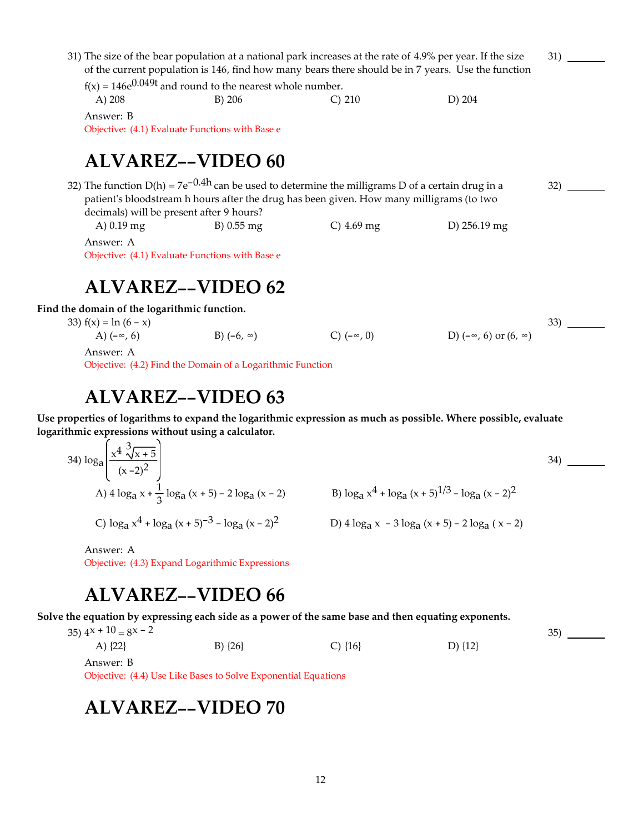#### 31) The size of the bear population at a national park increases at the rate of 4.9% per year. If the size of the current population is 146, find how many bears there should be in 7 years. Use the function

 $f(x) = 146e^{0.049t}$  and round to the nearest whole number. A) 208 B) 206 C) 210 D) 204

Answer: B Objective: (4.1) Evaluate Functions with Base e

# **ALVAREZ--VIDEO 60**

32) The function  $D(h) = 7e^{-0.4h}$  can be used to determine the milligrams D of a certain drug in a patient's bloodstream h hours after the drug has been given. How many milligrams (to two decimals) will be present after 9 hours? 32)

A) 0.19 mg B) 0.55 mg C) 4.69 mg D) 256.19 mg

Answer: A Objective: (4.1) Evaluate Functions with Base e

## **ALVAREZ--VIDEO 62**

**Find the domain of the logarithmic function.**

33)  $f(x) = \ln (6 - x)$ 

A)  $(-\infty, 6)$  B)  $(-6, \infty)$  C)  $(-\infty, 0)$  D)  $(-\infty, 6)$  or  $(6, \infty)$  $33)$   $\qquad$ Answer: A

Objective: (4.2) Find the Domain of a Logarithmic Function

## **ALVAREZ--VIDEO 63**

**Use properties of logarithms to expand the logarithmic expression as much as possible. Where possible, evaluate logarithmic expressions without using a calculator.**

34) 
$$
\log_{a} \left( \frac{x^{4} \sqrt[3]{x+5}}{(x-2)^{2}} \right)
$$
  
\nA)  $4 \log_{a} x + \frac{1}{3} \log_{a} (x+5) - 2 \log_{a} (x-2)$   
\nB)  $\log_{a} x^{4} + \log_{a} (x+5)^{1/3} - \log_{a} (x-2)^{2}$   
\nC)  $\log_{a} x^{4} + \log_{a} (x+5)^{-3} - \log_{a} (x-2)^{2}$   
\nD)  $4 \log_{a} x - 3 \log_{a} (x+5) - 2 \log_{a} (x-2)$ 

Answer: A

Objective: (4.3) Expand Logarithmic Expressions

# **ALVAREZ--VIDEO 66**

Solve the equation by expressing each side as a power of the same base and then equating exponents.

 $(35)$   $4^x + 10 = 8^x - 2$ 

A)  $\{22\}$  B)  $\{26\}$  C)  $\{16\}$  D)  $\{12\}$ 

Answer: B

Objective: (4.4) Use Like Bases to Solve Exponential Equations

#### **ALVAREZ--VIDEO 70**

34)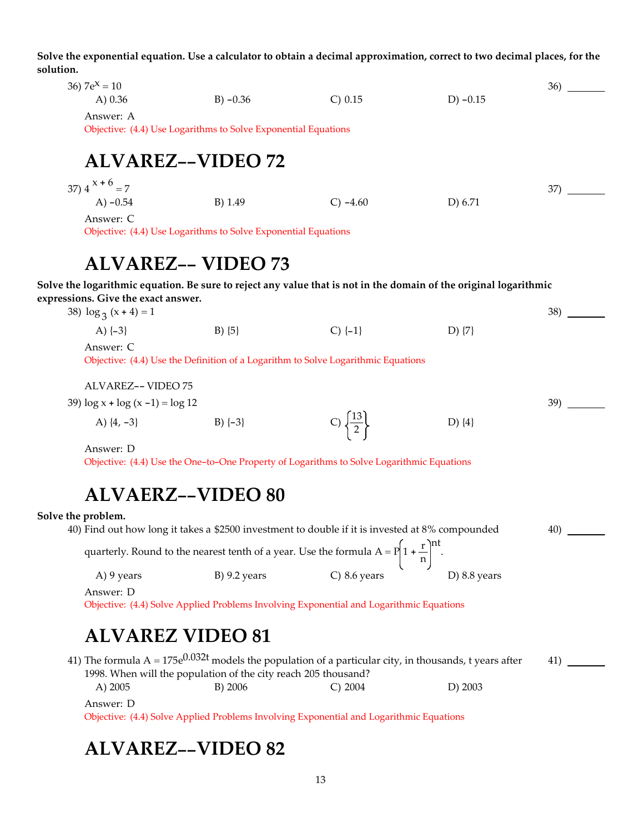Solve the exponential equation. Use a calculator to obtain a decimal approximation, correct to two decimal places, for the **solution.**

| 36) $7e^{x} = 10$<br>A) $0.36$                                                                                    | $B) -0.36$                                                     | C) 0.15                                                                           | $D) -0.15$ | 36) |
|-------------------------------------------------------------------------------------------------------------------|----------------------------------------------------------------|-----------------------------------------------------------------------------------|------------|-----|
| Answer: A                                                                                                         | Objective: (4.4) Use Logarithms to Solve Exponential Equations |                                                                                   |            |     |
|                                                                                                                   | <b>ALVAREZ--VIDEO 72</b>                                       |                                                                                   |            |     |
| 37) $4^{x+6} = 7$                                                                                                 |                                                                |                                                                                   |            | 37) |
| A) $-0.54$                                                                                                        | B) 1.49                                                        | $C) -4.60$                                                                        | D) 6.71    |     |
| Answer: C                                                                                                         |                                                                |                                                                                   |            |     |
|                                                                                                                   | Objective: (4.4) Use Logarithms to Solve Exponential Equations |                                                                                   |            |     |
|                                                                                                                   |                                                                |                                                                                   |            |     |
|                                                                                                                   | <b>ALVAREZ-- VIDEO 73</b>                                      |                                                                                   |            |     |
| Solve the logarithmic equation. Be sure to reject any value that is not in the domain of the original logarithmic |                                                                |                                                                                   |            |     |
| expressions. Give the exact answer.                                                                               |                                                                |                                                                                   |            |     |
| 38) $\log_3(x+4) = 1$                                                                                             |                                                                |                                                                                   |            | 38) |
| A) $\{-3\}$                                                                                                       | $B) \{5\}$                                                     | $C$ ) $\{-1\}$                                                                    | D) $\{7\}$ |     |
| Answer: C                                                                                                         |                                                                |                                                                                   |            |     |
|                                                                                                                   |                                                                | Objective: (4.4) Use the Definition of a Logarithm to Solve Logarithmic Equations |            |     |
| ALVAREZ-- VIDEO 75                                                                                                |                                                                |                                                                                   |            |     |
| 39) $\log x + \log (x - 1) = \log 12$                                                                             |                                                                |                                                                                   |            | 39) |
| A) $\{4, -3\}$                                                                                                    | $B)$ {-3}                                                      |                                                                                   | D) $\{4\}$ |     |

Answer: D

Objective: (4.4) Use the One-to-One Property of Logarithms to Solve Logarithmic Equations

# **ALVAERZ--VIDEO 80**

#### **Solve** the proble

| lve the problem. |                                                                                                             |                      |                |     |
|------------------|-------------------------------------------------------------------------------------------------------------|----------------------|----------------|-----|
|                  | 40) Find out how long it takes a \$2500 investment to double if it is invested at 8% compounded             |                      |                | 40) |
|                  | quarterly. Round to the nearest tenth of a year. Use the formula $A = P\left(1 + \frac{r}{n}\right)^{nt}$ . |                      |                |     |
| A) 9 years       | $B)$ 9.2 years                                                                                              | $\bigcirc$ 8.6 years | D) $8.8$ years |     |
| Answer: D        |                                                                                                             |                      |                |     |

Objective: (4.4) Solve Applied Problems Involving Exponential and Logarithmic Equations

#### **ALVAREZ VIDEO 81**

|                                |                                                                |           | 41) The formula $A = 175e^{0.032t}$ models the population of a particular city, in thousands, t years after | 41) |
|--------------------------------|----------------------------------------------------------------|-----------|-------------------------------------------------------------------------------------------------------------|-----|
|                                | 1998. When will the population of the city reach 205 thousand? |           |                                                                                                             |     |
| A) $2005$                      | B) 2006                                                        | C) $2004$ | $D)$ 2003                                                                                                   |     |
| $\Lambda$ as a second $\Gamma$ |                                                                |           |                                                                                                             |     |

Answer: D

Objective: (4.4) Solve Applied Problems Involving Exponential and Logarithmic Equations

#### **ALVAREZ--VIDEO 82**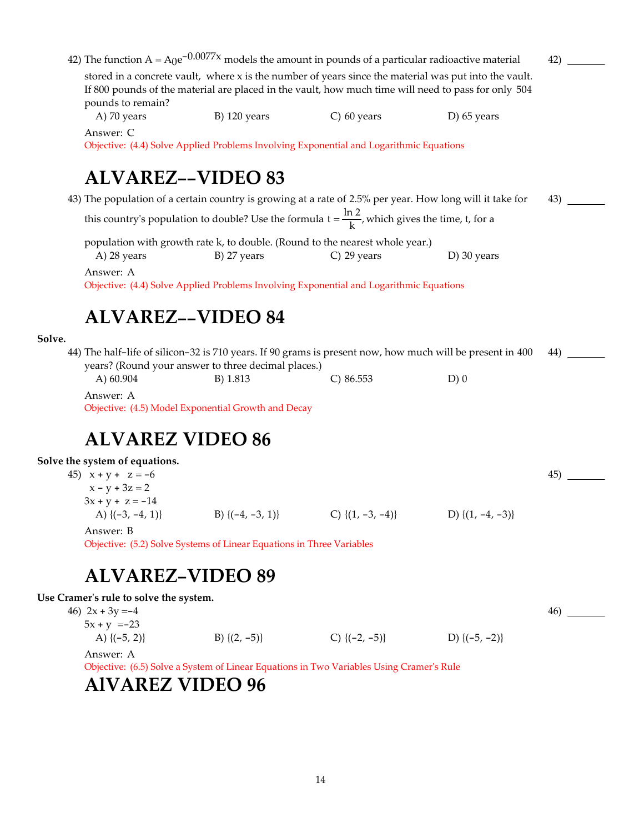42) The function  $A = A_0e^{-0.0077x}$  models the amount in pounds of a particular radioactive material stored in a concrete vault, where x is the number of years since the material was put into the vault. If 800 pounds of the material are placed in the vault, how much time will need to pass for only 504 pounds to remain? 42)

A) 70 years B) 120 years C) 60 years D) 65 years

Answer: C

Objective: (4.4) Solve Applied Problems Involving Exponential and Logarithmic Equations

## **ALVAREZ--VIDEO 83**

43) The population of a certain country is growing at a rate of 2.5% per year. How long will it take for this country's population to double? Use the formula  $t = \frac{\ln 2}{k}$ , which gives the time, t, for a 43)

population with growth rate k, to double. (Round to the nearest whole year.)

A) 28 years B) 27 years C) 29 years D) 30 years

Answer: A

Objective: (4.4) Solve Applied Problems Involving Exponential and Logarithmic Equations

## **ALVAREZ--VIDEO 84**

#### **Solve.**

44) The half-life of silicon-32 is 710 years. If 90 grams is present now, how much will be present in 400 years? (Round your answer to three decimal places.) A) 60.904 B) 1.813 C) 86.553 D) 0 44)

Answer: A

Objective: (4.5) Model Exponential Growth and Decay

#### **ALVAREZ VIDEO 86**

#### **Solve the system of equations.**

| 45) $x + y + z = -6$ |                       |                       |                       | 45) |
|----------------------|-----------------------|-----------------------|-----------------------|-----|
| $x - y + 3z = 2$     |                       |                       |                       |     |
| $3x + y + z = -14$   |                       |                       |                       |     |
| A) $\{(-3, -4, 1)\}$ | B) $\{(-4, -3, 1)\}\$ | C) $\{(1, -3, -4)\}\$ | D) $\{(1, -4, -3)\}\$ |     |
| Answer: B            |                       |                       |                       |     |

Objective: (5.2) Solve Systems of Linear Equations in Three Variables

#### **ALVAREZ-VIDEO 89**

#### **Use Cramerʹs rule to solve the system.**

| 46) $2x + 3y = -4$          |                   |                    |                    | 46) |
|-----------------------------|-------------------|--------------------|--------------------|-----|
| $5x + y = -23$              |                   |                    |                    |     |
| A) $\{(-5, 2)\}$            | B) $\{(2, -5)\}\$ | C) $\{(-2, -5)\}\$ | D) $\{(-5, -2)\}\$ |     |
| $\Lambda$ positor $\Lambda$ |                   |                    |                    |     |

Answer: A

Objective: (6.5) Solve a System of Linear Equations in Two Variables Using Cramerʹs Rule

#### **AlVAREZ VIDEO 96**